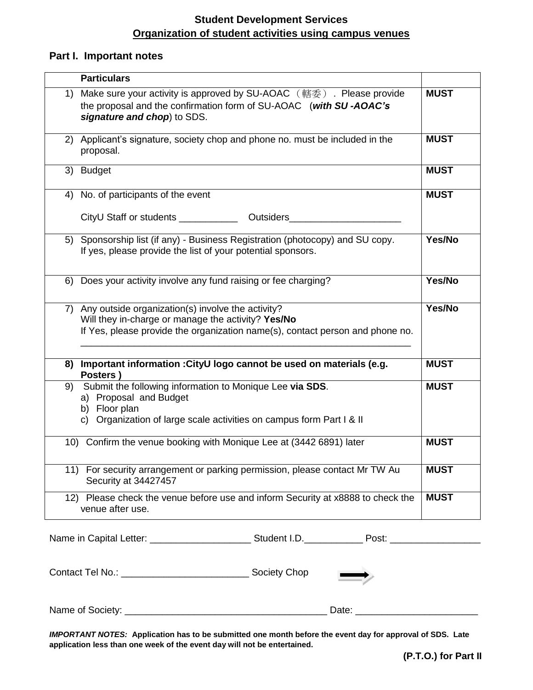## **Student Development Services Organization of student activities using campus venues**

## **Part I. Important notes**

| <b>Particulars</b>                                                                                                                                                                               |             |  |  |  |
|--------------------------------------------------------------------------------------------------------------------------------------------------------------------------------------------------|-------------|--|--|--|
| 1) Make sure your activity is approved by SU-AOAC ( 轄委 ). Please provide<br>the proposal and the confirmation form of SU-AOAC (with SU-AOAC's<br>signature and chop) to SDS.                     | <b>MUST</b> |  |  |  |
| 2) Applicant's signature, society chop and phone no. must be included in the<br>proposal.                                                                                                        | <b>MUST</b> |  |  |  |
| 3) Budget                                                                                                                                                                                        | <b>MUST</b> |  |  |  |
| 4) No. of participants of the event                                                                                                                                                              | <b>MUST</b> |  |  |  |
|                                                                                                                                                                                                  |             |  |  |  |
| 5) Sponsorship list (if any) - Business Registration (photocopy) and SU copy.<br>If yes, please provide the list of your potential sponsors.                                                     | Yes/No      |  |  |  |
| Does your activity involve any fund raising or fee charging?<br>6)                                                                                                                               | Yes/No      |  |  |  |
| 7) Any outside organization(s) involve the activity?<br>Will they in-charge or manage the activity? Yes/No<br>If Yes, please provide the organization name(s), contact person and phone no.      | Yes/No      |  |  |  |
| 8) Important information : CityU logo cannot be used on materials (e.g.<br>Posters)                                                                                                              | <b>MUST</b> |  |  |  |
| Submit the following information to Monique Lee via SDS.<br><b>MUST</b><br>9)<br>a) Proposal and Budget<br>b) Floor plan<br>c) Organization of large scale activities on campus form Part I & II |             |  |  |  |
| 10) Confirm the venue booking with Monique Lee at (3442 6891) later                                                                                                                              | <b>MUST</b> |  |  |  |
| 11) For security arrangement or parking permission, please contact Mr TW Au<br>Security at 34427457                                                                                              | <b>MUST</b> |  |  |  |
| 12) Please check the venue before use and inform Security at x8888 to check the<br>venue after use.                                                                                              | <b>MUST</b> |  |  |  |
|                                                                                                                                                                                                  |             |  |  |  |
|                                                                                                                                                                                                  |             |  |  |  |
| Date: $\overline{\phantom{a}}$                                                                                                                                                                   |             |  |  |  |

*IMPORTANT NOTES:* **Application has to be submitted one month before the event day for approval of SDS. Late application less than one week of the event day will not be entertained.**